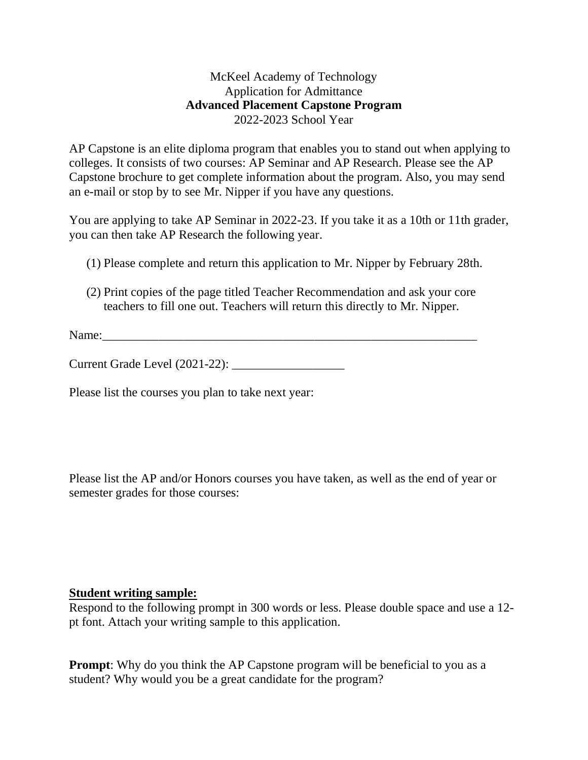## McKeel Academy of Technology Application for Admittance **Advanced Placement Capstone Program** 2022-2023 School Year

AP Capstone is an elite diploma program that enables you to stand out when applying to colleges. It consists of two courses: AP Seminar and AP Research. Please see the AP Capstone brochure to get complete information about the program. Also, you may send an e-mail or stop by to see Mr. Nipper if you have any questions.

You are applying to take AP Seminar in 2022-23. If you take it as a 10th or 11th grader, you can then take AP Research the following year.

- (1) Please complete and return this application to Mr. Nipper by February 28th.
- (2) Print copies of the page titled Teacher Recommendation and ask your core teachers to fill one out. Teachers will return this directly to Mr. Nipper.

Name:\_\_\_\_\_\_\_\_\_\_\_\_\_\_\_\_\_\_\_\_\_\_\_\_\_\_\_\_\_\_\_\_\_\_\_\_\_\_\_\_\_\_\_\_\_\_\_\_\_\_\_\_\_\_\_\_\_\_\_\_

Current Grade Level (2021-22): \_\_\_\_\_\_\_\_\_\_\_\_\_\_\_\_\_\_

Please list the courses you plan to take next year:

Please list the AP and/or Honors courses you have taken, as well as the end of year or semester grades for those courses:

## **Student writing sample:**

Respond to the following prompt in 300 words or less. Please double space and use a 12 pt font. Attach your writing sample to this application.

**Prompt:** Why do you think the AP Capstone program will be beneficial to you as a student? Why would you be a great candidate for the program?